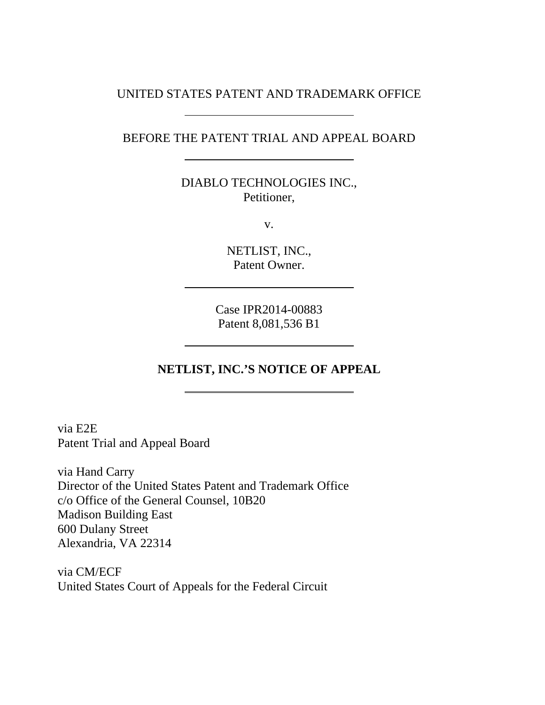### UNITED STATES PATENT AND TRADEMARK OFFICE

### BEFORE THE PATENT TRIAL AND APPEAL BOARD

DIABLO TECHNOLOGIES INC., Petitioner,

v.

NETLIST, INC., Patent Owner.

Case IPR2014-00883 Patent 8,081,536 B1

# **NETLIST, INC.'S NOTICE OF APPEAL**

via E2E Patent Trial and Appeal Board

via Hand Carry Director of the United States Patent and Trademark Office c/o Office of the General Counsel, 10B20 Madison Building East 600 Dulany Street Alexandria, VA 22314

via CM/ECF United States Court of Appeals for the Federal Circuit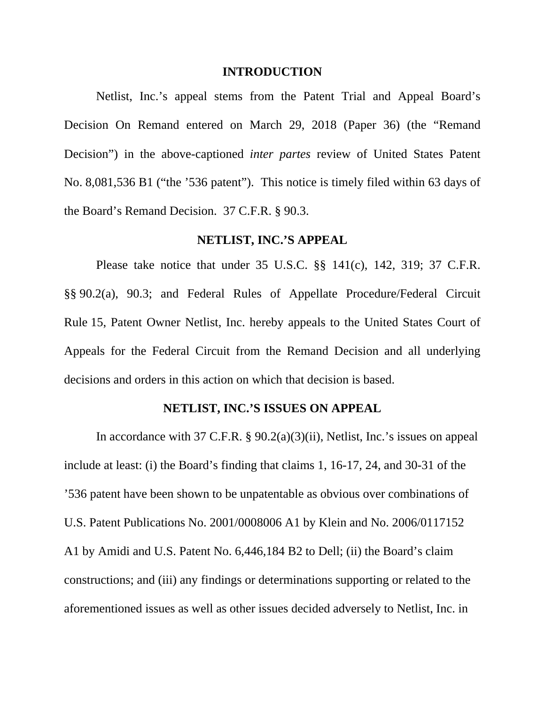#### **INTRODUCTION**

 Netlist, Inc.'s appeal stems from the Patent Trial and Appeal Board's Decision On Remand entered on March 29, 2018 (Paper 36) (the "Remand Decision") in the above-captioned *inter partes* review of United States Patent No. 8,081,536 B1 ("the '536 patent"). This notice is timely filed within 63 days of the Board's Remand Decision. 37 C.F.R. § 90.3.

#### **NETLIST, INC.'S APPEAL**

Please take notice that under 35 U.S.C. §§ 141(c), 142, 319; 37 C.F.R. §§ 90.2(a), 90.3; and Federal Rules of Appellate Procedure/Federal Circuit Rule 15, Patent Owner Netlist, Inc. hereby appeals to the United States Court of Appeals for the Federal Circuit from the Remand Decision and all underlying decisions and orders in this action on which that decision is based.

#### **NETLIST, INC.'S ISSUES ON APPEAL**

In accordance with 37 C.F.R. § 90.2(a)(3)(ii), Netlist, Inc.'s issues on appeal include at least: (i) the Board's finding that claims 1, 16-17, 24, and 30-31 of the '536 patent have been shown to be unpatentable as obvious over combinations of U.S. Patent Publications No. 2001/0008006 A1 by Klein and No. 2006/0117152 A1 by Amidi and U.S. Patent No. 6,446,184 B2 to Dell; (ii) the Board's claim constructions; and (iii) any findings or determinations supporting or related to the aforementioned issues as well as other issues decided adversely to Netlist, Inc. in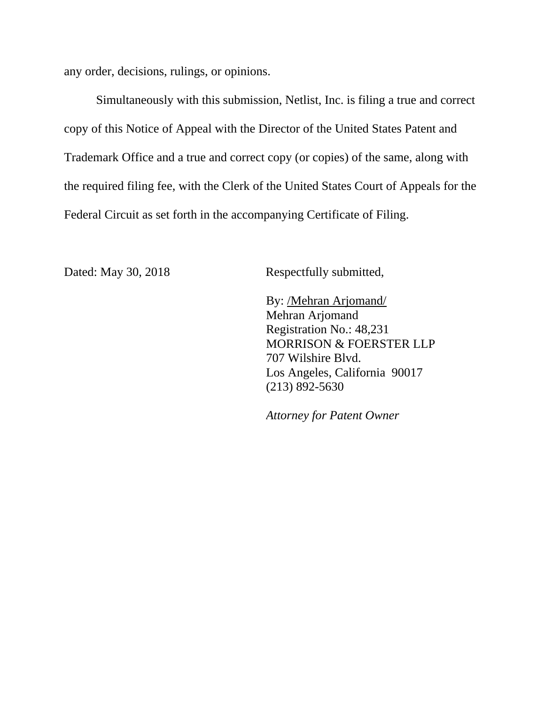any order, decisions, rulings, or opinions.

Simultaneously with this submission, Netlist, Inc. is filing a true and correct copy of this Notice of Appeal with the Director of the United States Patent and Trademark Office and a true and correct copy (or copies) of the same, along with the required filing fee, with the Clerk of the United States Court of Appeals for the Federal Circuit as set forth in the accompanying Certificate of Filing.

Dated: May 30, 2018 Respectfully submitted,

By: /Mehran Arjomand/ Mehran Arjomand Registration No.: 48,231 MORRISON & FOERSTER LLP 707 Wilshire Blvd. Los Angeles, California 90017 (213) 892-5630

*Attorney for Patent Owner*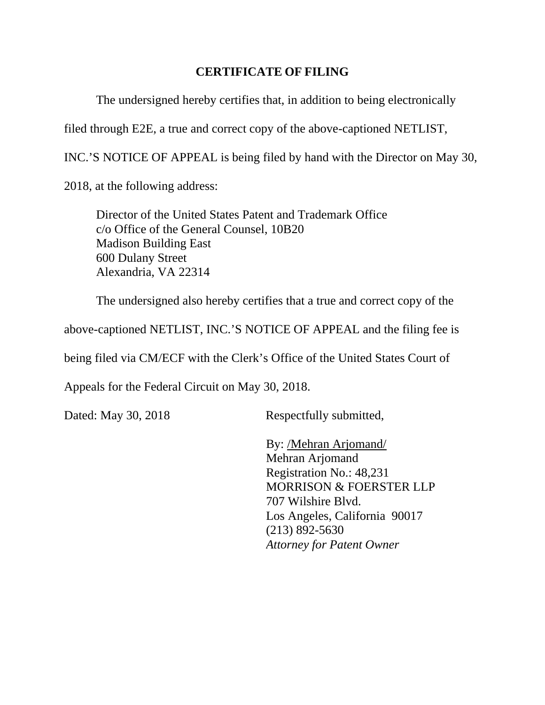# **CERTIFICATE OF FILING**

The undersigned hereby certifies that, in addition to being electronically

filed through E2E, a true and correct copy of the above-captioned NETLIST,

INC.'S NOTICE OF APPEAL is being filed by hand with the Director on May 30,

2018, at the following address:

 Director of the United States Patent and Trademark Office c/o Office of the General Counsel, 10B20 Madison Building East 600 Dulany Street Alexandria, VA 22314

The undersigned also hereby certifies that a true and correct copy of the

above-captioned NETLIST, INC.'S NOTICE OF APPEAL and the filing fee is

being filed via CM/ECF with the Clerk's Office of the United States Court of

Appeals for the Federal Circuit on May 30, 2018.

Dated: May 30, 2018 Respectfully submitted,

By: /Mehran Arjomand/ Mehran Arjomand Registration No.: 48,231 MORRISON & FOERSTER LLP 707 Wilshire Blvd. Los Angeles, California 90017 (213) 892-5630 *Attorney for Patent Owner*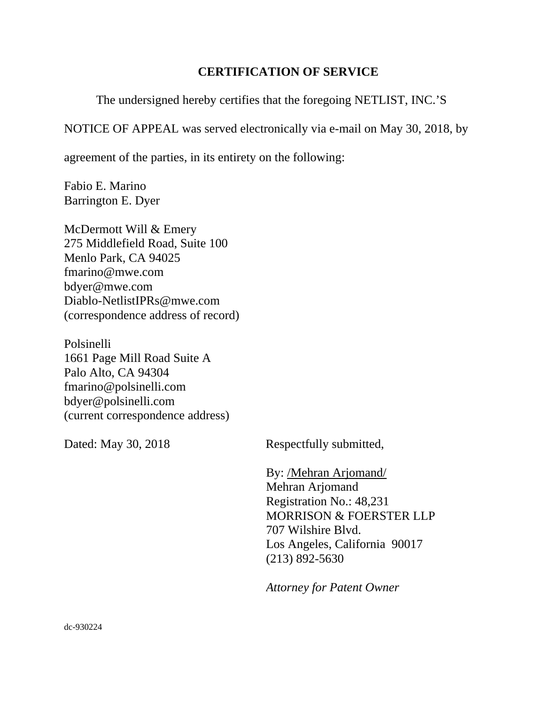### **CERTIFICATION OF SERVICE**

The undersigned hereby certifies that the foregoing NETLIST, INC.'S

NOTICE OF APPEAL was served electronically via e-mail on May 30, 2018, by

agreement of the parties, in its entirety on the following:

Fabio E. Marino Barrington E. Dyer

McDermott Will & Emery 275 Middlefield Road, Suite 100 Menlo Park, CA 94025 fmarino@mwe.com bdyer@mwe.com Diablo-NetlistIPRs@mwe.com (correspondence address of record)

Polsinelli 1661 Page Mill Road Suite A Palo Alto, CA 94304 fmarino@polsinelli.com bdyer@polsinelli.com (current correspondence address)

Dated: May 30, 2018 Respectfully submitted,

By: /Mehran Arjomand/ Mehran Arjomand Registration No.: 48,231 MORRISON & FOERSTER LLP 707 Wilshire Blvd. Los Angeles, California 90017 (213) 892-5630

*Attorney for Patent Owner*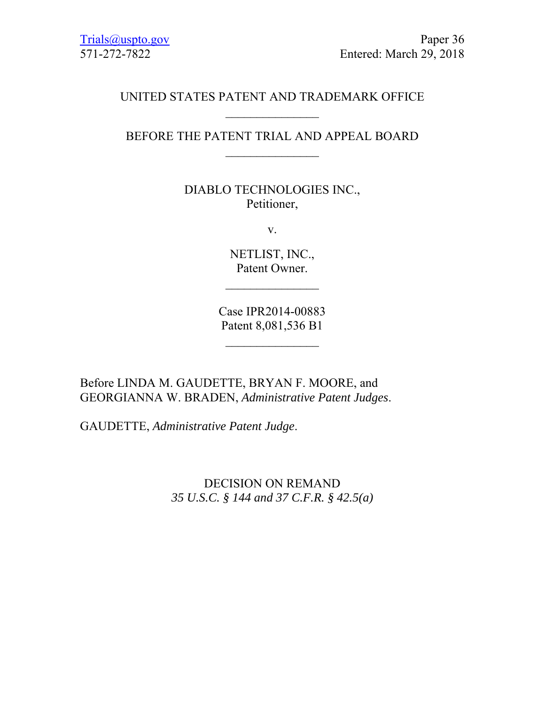# UNITED STATES PATENT AND TRADEMARK OFFICE

# BEFORE THE PATENT TRIAL AND APPEAL BOARD  $\frac{1}{2}$

## DIABLO TECHNOLOGIES INC., Petitioner,

v.

NETLIST, INC., Patent Owner.

Case IPR2014-00883 Patent 8,081,536 B1

Before LINDA M. GAUDETTE, BRYAN F. MOORE, and GEORGIANNA W. BRADEN, *Administrative Patent Judges*.

GAUDETTE, *Administrative Patent Judge*.

DECISION ON REMAND *35 U.S.C. § 144 and 37 C.F.R. § 42.5(a)*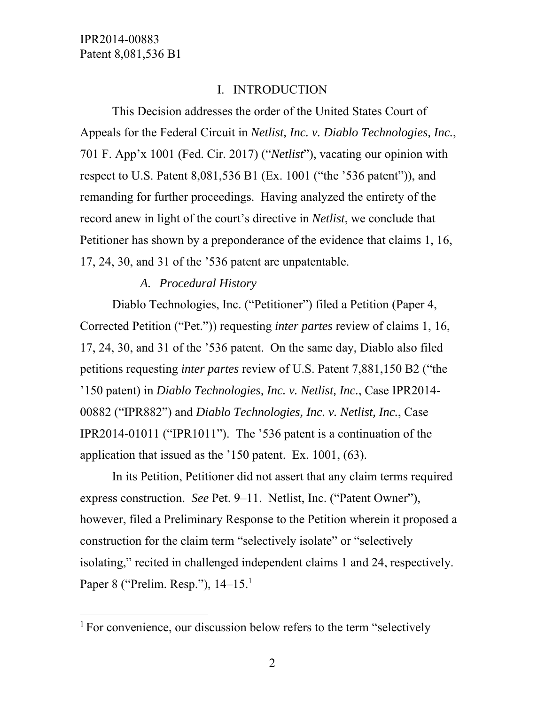-

### I. INTRODUCTION

This Decision addresses the order of the United States Court of Appeals for the Federal Circuit in *Netlist, Inc. v. Diablo Technologies, Inc.*, 701 F. App'x 1001 (Fed. Cir. 2017) ("*Netlist*"), vacating our opinion with respect to U.S. Patent 8,081,536 B1 (Ex. 1001 ("the '536 patent")), and remanding for further proceedings. Having analyzed the entirety of the record anew in light of the court's directive in *Netlist*, we conclude that Petitioner has shown by a preponderance of the evidence that claims 1, 16, 17, 24, 30, and 31 of the '536 patent are unpatentable.

### *A. Procedural History*

Diablo Technologies, Inc. ("Petitioner") filed a Petition (Paper 4, Corrected Petition ("Pet.")) requesting *inter partes* review of claims 1, 16, 17, 24, 30, and 31 of the '536 patent. On the same day, Diablo also filed petitions requesting *inter partes* review of U.S. Patent 7,881,150 B2 ("the '150 patent) in *Diablo Technologies, Inc. v. Netlist, Inc.*, Case IPR2014- 00882 ("IPR882") and *Diablo Technologies, Inc. v. Netlist, Inc.*, Case IPR2014-01011 ("IPR1011"). The '536 patent is a continuation of the application that issued as the '150 patent. Ex. 1001, (63).

In its Petition, Petitioner did not assert that any claim terms required express construction. *See* Pet. 9–11. Netlist, Inc. ("Patent Owner"), however, filed a Preliminary Response to the Petition wherein it proposed a construction for the claim term "selectively isolate" or "selectively isolating," recited in challenged independent claims 1 and 24, respectively. Paper 8 ("Prelim. Resp."), 14–15.<sup>1</sup>

<sup>&</sup>lt;sup>1</sup> For convenience, our discussion below refers to the term "selectively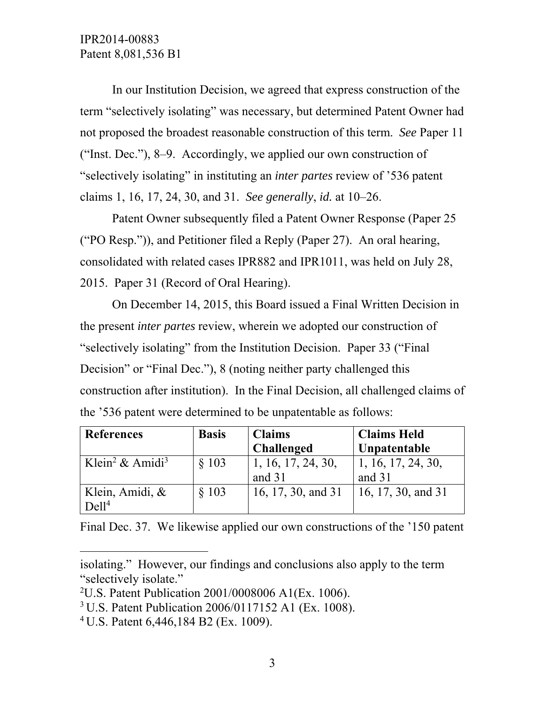In our Institution Decision, we agreed that express construction of the term "selectively isolating" was necessary, but determined Patent Owner had not proposed the broadest reasonable construction of this term. *See* Paper 11 ("Inst. Dec."), 8–9. Accordingly, we applied our own construction of "selectively isolating" in instituting an *inter partes* review of '536 patent claims 1, 16, 17, 24, 30, and 31. *See generally*, *id.* at 10–26.

Patent Owner subsequently filed a Patent Owner Response (Paper 25 ("PO Resp.")), and Petitioner filed a Reply (Paper 27). An oral hearing, consolidated with related cases IPR882 and IPR1011, was held on July 28, 2015. Paper 31 (Record of Oral Hearing).

On December 14, 2015, this Board issued a Final Written Decision in the present *inter partes* review, wherein we adopted our construction of "selectively isolating" from the Institution Decision. Paper 33 ("Final Decision" or "Final Dec."), 8 (noting neither party challenged this construction after institution). In the Final Decision, all challenged claims of the '536 patent were determined to be unpatentable as follows:

| <b>References</b>                       | <b>Basis</b> | <b>Claims</b>                | <b>Claims Held</b>                         |
|-----------------------------------------|--------------|------------------------------|--------------------------------------------|
|                                         |              | <b>Challenged</b>            | Unpatentable                               |
| Klein <sup>2</sup> & Amidi <sup>3</sup> | \$103        | 1, 16, 17, 24, 30,<br>and 31 | $\vert 1, 16, 17, 24, 30, \vert$<br>and 31 |
|                                         |              |                              |                                            |
| Klein, Amidi, &                         | \$103        | 16, 17, 30, and 31           | 16, 17, 30, and 31                         |
| De <sub>11<sup>4</sup></sub>            |              |                              |                                            |

Final Dec. 37. We likewise applied our own constructions of the '150 patent

 $\overline{a}$ 

isolating." However, our findings and conclusions also apply to the term "selectively isolate."

<sup>2</sup> U.S. Patent Publication 2001/0008006 A1(Ex. 1006).

<sup>3</sup> U.S. Patent Publication 2006/0117152 A1 (Ex. 1008).

<sup>4</sup> U.S. Patent 6,446,184 B2 (Ex. 1009).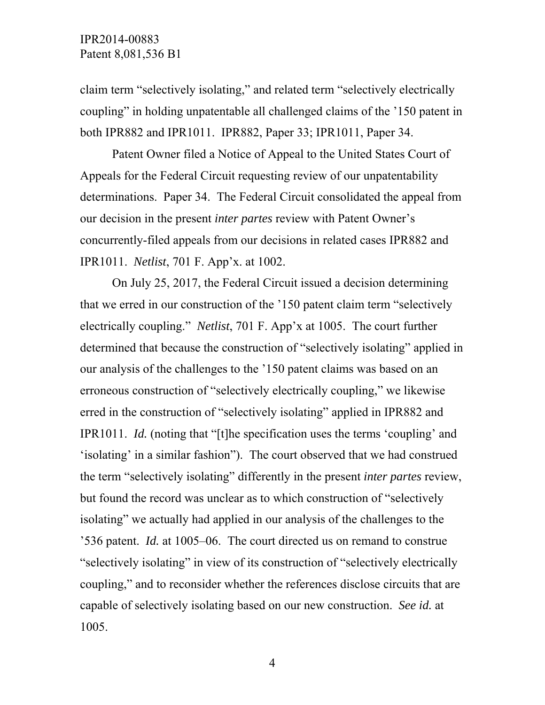claim term "selectively isolating," and related term "selectively electrically coupling" in holding unpatentable all challenged claims of the '150 patent in both IPR882 and IPR1011. IPR882, Paper 33; IPR1011, Paper 34.

Patent Owner filed a Notice of Appeal to the United States Court of Appeals for the Federal Circuit requesting review of our unpatentability determinations. Paper 34. The Federal Circuit consolidated the appeal from our decision in the present *inter partes* review with Patent Owner's concurrently-filed appeals from our decisions in related cases IPR882 and IPR1011. *Netlist*, 701 F. App'x. at 1002.

On July 25, 2017, the Federal Circuit issued a decision determining that we erred in our construction of the '150 patent claim term "selectively electrically coupling." *Netlist*, 701 F. App'x at 1005. The court further determined that because the construction of "selectively isolating" applied in our analysis of the challenges to the '150 patent claims was based on an erroneous construction of "selectively electrically coupling," we likewise erred in the construction of "selectively isolating" applied in IPR882 and IPR1011. *Id.* (noting that "[t]he specification uses the terms 'coupling' and 'isolating' in a similar fashion"). The court observed that we had construed the term "selectively isolating" differently in the present *inter partes* review, but found the record was unclear as to which construction of "selectively isolating" we actually had applied in our analysis of the challenges to the '536 patent. *Id.* at 1005–06. The court directed us on remand to construe "selectively isolating" in view of its construction of "selectively electrically coupling," and to reconsider whether the references disclose circuits that are capable of selectively isolating based on our new construction. *See id.* at 1005.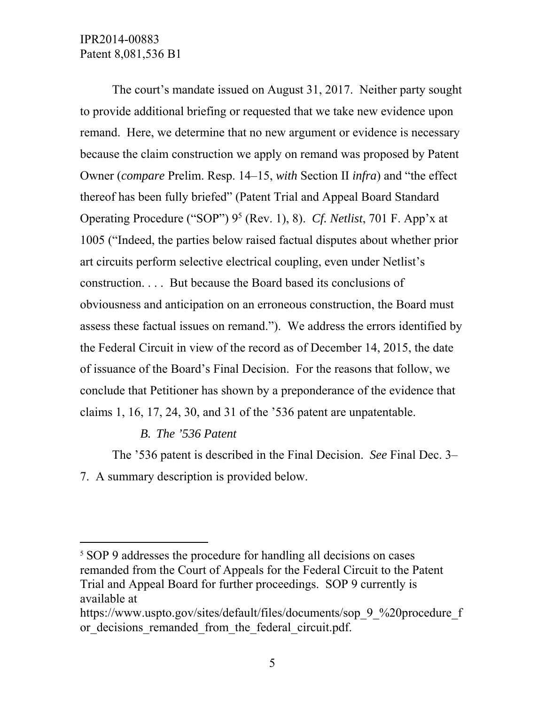The court's mandate issued on August 31, 2017. Neither party sought to provide additional briefing or requested that we take new evidence upon remand. Here, we determine that no new argument or evidence is necessary because the claim construction we apply on remand was proposed by Patent Owner (*compare* Prelim. Resp. 14–15, *with* Section II *infra*) and "the effect thereof has been fully briefed" (Patent Trial and Appeal Board Standard Operating Procedure ("SOP") 9<sup>5</sup> (Rev. 1), 8). *Cf. Netlist*, 701 F. App'x at 1005 ("Indeed, the parties below raised factual disputes about whether prior art circuits perform selective electrical coupling, even under Netlist's construction. . . . But because the Board based its conclusions of obviousness and anticipation on an erroneous construction, the Board must assess these factual issues on remand."). We address the errors identified by the Federal Circuit in view of the record as of December 14, 2015, the date of issuance of the Board's Final Decision. For the reasons that follow, we conclude that Petitioner has shown by a preponderance of the evidence that claims 1, 16, 17, 24, 30, and 31 of the '536 patent are unpatentable.

### *B. The '536 Patent*

-

The '536 patent is described in the Final Decision. *See* Final Dec. 3– 7. A summary description is provided below.

<sup>5</sup> SOP 9 addresses the procedure for handling all decisions on cases remanded from the Court of Appeals for the Federal Circuit to the Patent Trial and Appeal Board for further proceedings. SOP 9 currently is available at

https://www.uspto.gov/sites/default/files/documents/sop\_9\_%20procedure\_f or decisions remanded from the federal circuit.pdf.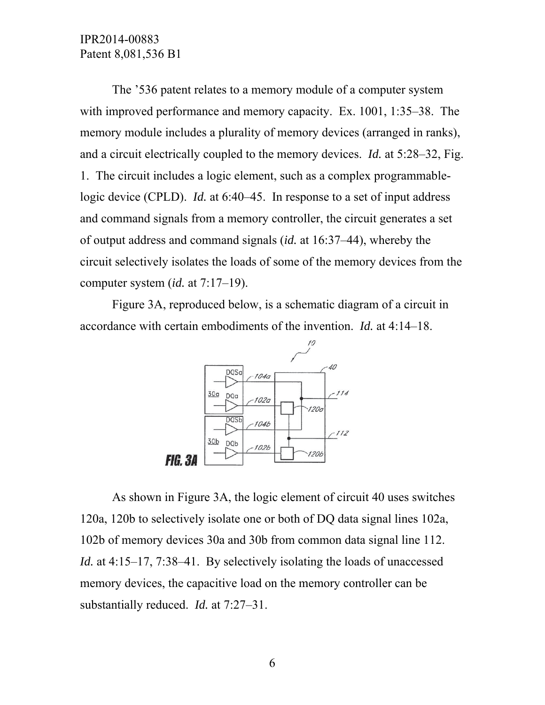The '536 patent relates to a memory module of a computer system with improved performance and memory capacity. Ex. 1001, 1:35–38. The memory module includes a plurality of memory devices (arranged in ranks), and a circuit electrically coupled to the memory devices. *Id.* at 5:28–32, Fig. 1. The circuit includes a logic element, such as a complex programmablelogic device (CPLD). *Id.* at 6:40–45. In response to a set of input address and command signals from a memory controller, the circuit generates a set of output address and command signals (*id.* at 16:37–44), whereby the circuit selectively isolates the loads of some of the memory devices from the computer system (*id.* at 7:17–19).

Figure 3A, reproduced below, is a schematic diagram of a circuit in accordance with certain embodiments of the invention. *Id.* at 4:14–18.



 As shown in Figure 3A, the logic element of circuit 40 uses switches 120a, 120b to selectively isolate one or both of DQ data signal lines 102a, 102b of memory devices 30a and 30b from common data signal line 112. *Id.* at 4:15–17, 7:38–41. By selectively isolating the loads of unaccessed memory devices, the capacitive load on the memory controller can be substantially reduced. *Id.* at 7:27–31.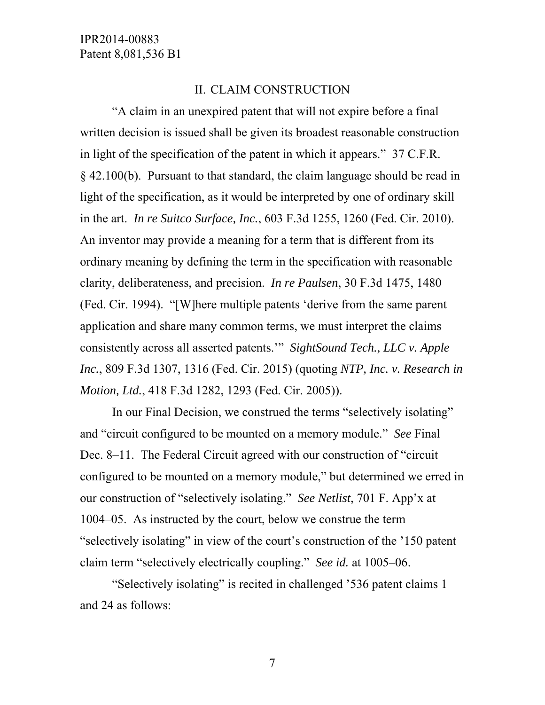#### II. CLAIM CONSTRUCTION

"A claim in an unexpired patent that will not expire before a final written decision is issued shall be given its broadest reasonable construction in light of the specification of the patent in which it appears." 37 C.F.R. § 42.100(b). Pursuant to that standard, the claim language should be read in light of the specification, as it would be interpreted by one of ordinary skill in the art. *In re Suitco Surface, Inc.*, 603 F.3d 1255, 1260 (Fed. Cir. 2010). An inventor may provide a meaning for a term that is different from its ordinary meaning by defining the term in the specification with reasonable clarity, deliberateness, and precision. *In re Paulsen*, 30 F.3d 1475, 1480 (Fed. Cir. 1994). "[W]here multiple patents 'derive from the same parent application and share many common terms, we must interpret the claims consistently across all asserted patents.'" *SightSound Tech., LLC v. Apple Inc.*, 809 F.3d 1307, 1316 (Fed. Cir. 2015) (quoting *NTP, Inc. v. Research in Motion, Ltd.*, 418 F.3d 1282, 1293 (Fed. Cir. 2005)).

In our Final Decision, we construed the terms "selectively isolating" and "circuit configured to be mounted on a memory module." *See* Final Dec. 8–11. The Federal Circuit agreed with our construction of "circuit configured to be mounted on a memory module," but determined we erred in our construction of "selectively isolating." *See Netlist*, 701 F. App'x at 1004–05. As instructed by the court, below we construe the term "selectively isolating" in view of the court's construction of the '150 patent claim term "selectively electrically coupling." *See id.* at 1005–06.

"Selectively isolating" is recited in challenged '536 patent claims 1 and 24 as follows: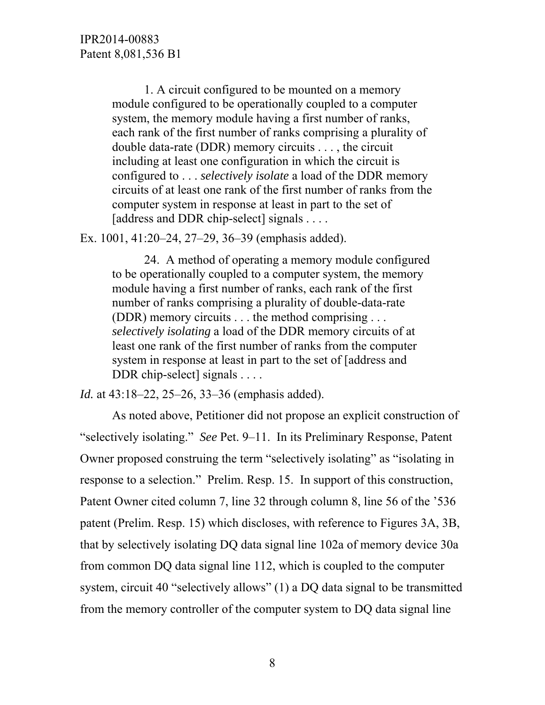1. A circuit configured to be mounted on a memory module configured to be operationally coupled to a computer system, the memory module having a first number of ranks, each rank of the first number of ranks comprising a plurality of double data-rate (DDR) memory circuits . . . , the circuit including at least one configuration in which the circuit is configured to . . . *selectively isolate* a load of the DDR memory circuits of at least one rank of the first number of ranks from the computer system in response at least in part to the set of [address and DDR chip-select] signals . . . .

Ex. 1001, 41:20–24, 27–29, 36–39 (emphasis added).

24. A method of operating a memory module configured to be operationally coupled to a computer system, the memory module having a first number of ranks, each rank of the first number of ranks comprising a plurality of double-data-rate (DDR) memory circuits . . . the method comprising . . . *selectively isolating* a load of the DDR memory circuits of at least one rank of the first number of ranks from the computer system in response at least in part to the set of [address and DDR chip-select signals . . . .

*Id.* at 43:18–22, 25–26, 33–36 (emphasis added).

As noted above, Petitioner did not propose an explicit construction of "selectively isolating." *See* Pet. 9–11. In its Preliminary Response, Patent Owner proposed construing the term "selectively isolating" as "isolating in response to a selection." Prelim. Resp. 15. In support of this construction, Patent Owner cited column 7, line 32 through column 8, line 56 of the '536 patent (Prelim. Resp. 15) which discloses, with reference to Figures 3A, 3B, that by selectively isolating DQ data signal line 102a of memory device 30a from common DQ data signal line 112, which is coupled to the computer system, circuit 40 "selectively allows" (1) a DQ data signal to be transmitted from the memory controller of the computer system to DQ data signal line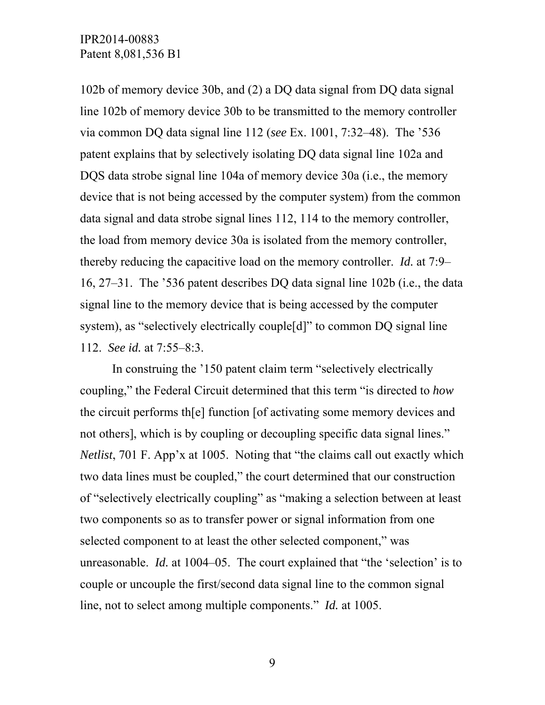102b of memory device 30b, and (2) a DQ data signal from DQ data signal line 102b of memory device 30b to be transmitted to the memory controller via common DQ data signal line 112 (*see* Ex. 1001, 7:32–48). The '536 patent explains that by selectively isolating DQ data signal line 102a and DQS data strobe signal line 104a of memory device 30a (i.e., the memory device that is not being accessed by the computer system) from the common data signal and data strobe signal lines 112, 114 to the memory controller, the load from memory device 30a is isolated from the memory controller, thereby reducing the capacitive load on the memory controller. *Id.* at 7:9– 16, 27–31. The '536 patent describes DQ data signal line 102b (i.e., the data signal line to the memory device that is being accessed by the computer system), as "selectively electrically couple[d]" to common DQ signal line 112. *See id.* at 7:55–8:3.

 In construing the '150 patent claim term "selectively electrically coupling," the Federal Circuit determined that this term "is directed to *how*  the circuit performs th[e] function [of activating some memory devices and not others], which is by coupling or decoupling specific data signal lines." *Netlist*, 701 F. App'x at 1005. Noting that "the claims call out exactly which two data lines must be coupled," the court determined that our construction of "selectively electrically coupling" as "making a selection between at least two components so as to transfer power or signal information from one selected component to at least the other selected component," was unreasonable. *Id.* at 1004–05. The court explained that "the 'selection' is to couple or uncouple the first/second data signal line to the common signal line, not to select among multiple components." *Id.* at 1005.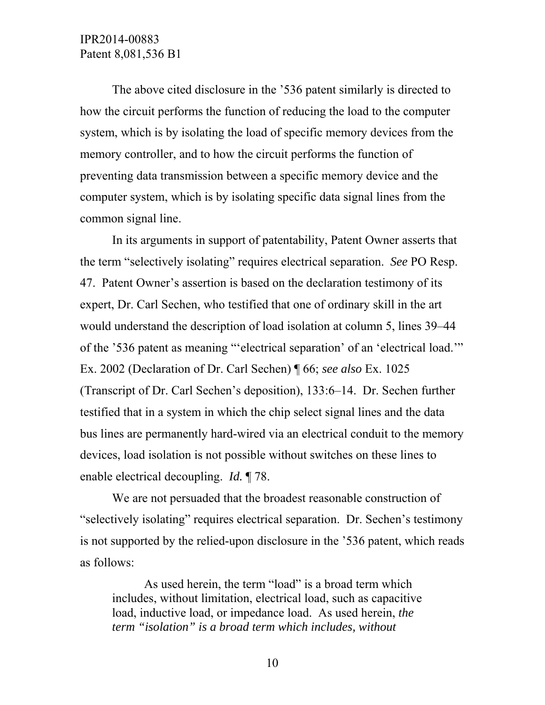The above cited disclosure in the '536 patent similarly is directed to how the circuit performs the function of reducing the load to the computer system, which is by isolating the load of specific memory devices from the memory controller, and to how the circuit performs the function of preventing data transmission between a specific memory device and the computer system, which is by isolating specific data signal lines from the common signal line.

 In its arguments in support of patentability, Patent Owner asserts that the term "selectively isolating" requires electrical separation. *See* PO Resp. 47. Patent Owner's assertion is based on the declaration testimony of its expert, Dr. Carl Sechen, who testified that one of ordinary skill in the art would understand the description of load isolation at column 5, lines 39–44 of the '536 patent as meaning "'electrical separation' of an 'electrical load.'" Ex. 2002 (Declaration of Dr. Carl Sechen) ¶ 66; *see also* Ex. 1025 (Transcript of Dr. Carl Sechen's deposition), 133:6–14. Dr. Sechen further testified that in a system in which the chip select signal lines and the data bus lines are permanently hard-wired via an electrical conduit to the memory devices, load isolation is not possible without switches on these lines to enable electrical decoupling. *Id.* ¶ 78.

 We are not persuaded that the broadest reasonable construction of "selectively isolating" requires electrical separation. Dr. Sechen's testimony is not supported by the relied-upon disclosure in the '536 patent, which reads as follows:

 As used herein, the term "load" is a broad term which includes, without limitation, electrical load, such as capacitive load, inductive load, or impedance load. As used herein, *the term "isolation" is a broad term which includes, without*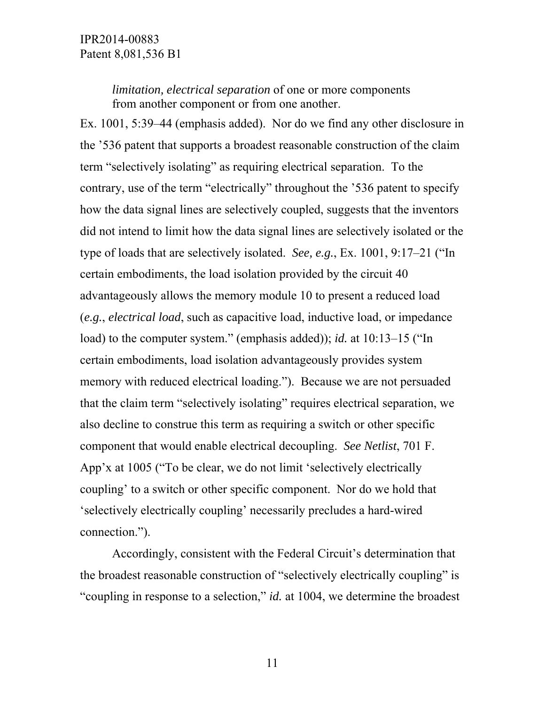*limitation, electrical separation* of one or more components from another component or from one another.

Ex. 1001, 5:39–44 (emphasis added). Nor do we find any other disclosure in the '536 patent that supports a broadest reasonable construction of the claim term "selectively isolating" as requiring electrical separation. To the contrary, use of the term "electrically" throughout the '536 patent to specify how the data signal lines are selectively coupled, suggests that the inventors did not intend to limit how the data signal lines are selectively isolated or the type of loads that are selectively isolated. *See, e.g.*, Ex. 1001, 9:17–21 ("In certain embodiments, the load isolation provided by the circuit 40 advantageously allows the memory module 10 to present a reduced load (*e.g.*, *electrical load*, such as capacitive load, inductive load, or impedance load) to the computer system." (emphasis added)); *id.* at 10:13–15 ("In certain embodiments, load isolation advantageously provides system memory with reduced electrical loading."). Because we are not persuaded that the claim term "selectively isolating" requires electrical separation, we also decline to construe this term as requiring a switch or other specific component that would enable electrical decoupling. *See Netlist*, 701 F. App'x at 1005 ("To be clear, we do not limit 'selectively electrically coupling' to a switch or other specific component. Nor do we hold that 'selectively electrically coupling' necessarily precludes a hard-wired connection.").

 Accordingly, consistent with the Federal Circuit's determination that the broadest reasonable construction of "selectively electrically coupling" is "coupling in response to a selection," *id.* at 1004, we determine the broadest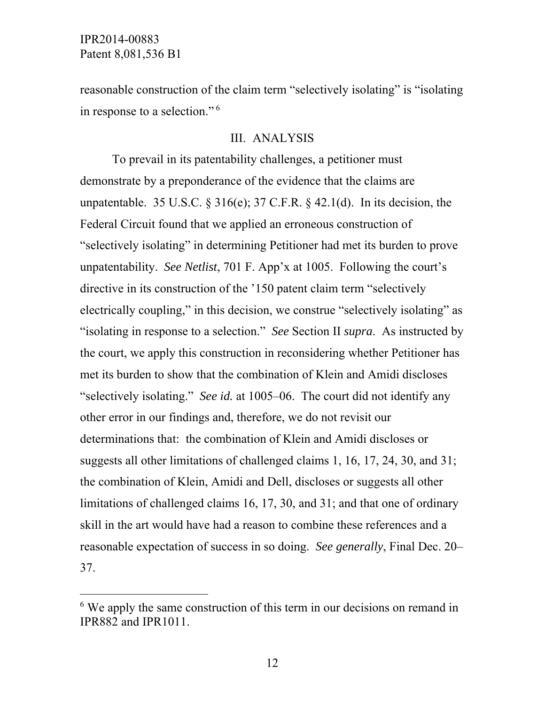-

reasonable construction of the claim term "selectively isolating" is "isolating in response to a selection." 6

### III. ANALYSIS

To prevail in its patentability challenges, a petitioner must demonstrate by a preponderance of the evidence that the claims are unpatentable. 35 U.S.C.  $\S 316(e)$ ; 37 C.F.R.  $\S 42.1(d)$ . In its decision, the Federal Circuit found that we applied an erroneous construction of "selectively isolating" in determining Petitioner had met its burden to prove unpatentability. *See Netlist*, 701 F. App'x at 1005. Following the court's directive in its construction of the '150 patent claim term "selectively electrically coupling," in this decision, we construe "selectively isolating" as "isolating in response to a selection." *See* Section II *supra*. As instructed by the court, we apply this construction in reconsidering whether Petitioner has met its burden to show that the combination of Klein and Amidi discloses "selectively isolating." *See id.* at 1005–06. The court did not identify any other error in our findings and, therefore, we do not revisit our determinations that: the combination of Klein and Amidi discloses or suggests all other limitations of challenged claims 1, 16, 17, 24, 30, and 31; the combination of Klein, Amidi and Dell, discloses or suggests all other limitations of challenged claims 16, 17, 30, and 31; and that one of ordinary skill in the art would have had a reason to combine these references and a reasonable expectation of success in so doing. *See generally*, Final Dec. 20– 37.

<sup>&</sup>lt;sup>6</sup> We apply the same construction of this term in our decisions on remand in IPR882 and IPR1011.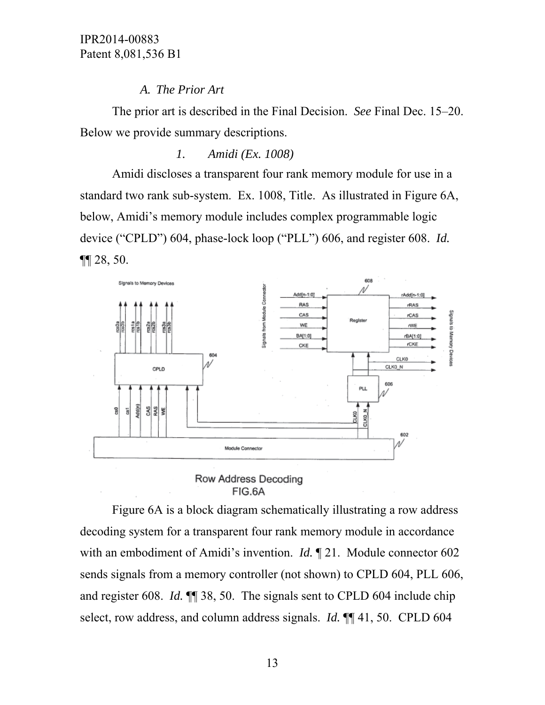# *A. The Prior Art*

The prior art is described in the Final Decision. *See* Final Dec. 15–20. Below we provide summary descriptions.

*1. Amidi (Ex. 1008)* 

Amidi discloses a transparent four rank memory module for use in a standard two rank sub-system. Ex. 1008, Title. As illustrated in Figure 6A, below, Amidi's memory module includes complex programmable logic device ("CPLD") 604, phase-lock loop ("PLL") 606, and register 608. *Id.* ¶¶ 28, 50.



Row Address Decoding FIG.6A

Figure 6A is a block diagram schematically illustrating a row address decoding system for a transparent four rank memory module in accordance with an embodiment of Amidi's invention. *Id.* ¶ 21. Module connector 602 sends signals from a memory controller (not shown) to CPLD 604, PLL 606, and register 608. *Id.* ¶¶ 38, 50. The signals sent to CPLD 604 include chip select, row address, and column address signals. *Id.* ¶¶ 41, 50. CPLD 604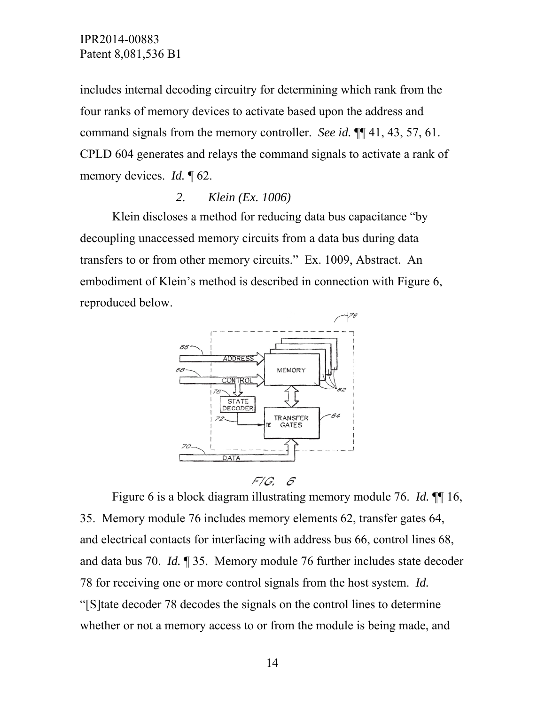includes internal decoding circuitry for determining which rank from the four ranks of memory devices to activate based upon the address and command signals from the memory controller. *See id.* ¶¶ 41, 43, 57, 61. CPLD 604 generates and relays the command signals to activate a rank of memory devices. *Id.* ¶ 62.

### *2. Klein (Ex. 1006)*

Klein discloses a method for reducing data bus capacitance "by decoupling unaccessed memory circuits from a data bus during data transfers to or from other memory circuits." Ex. 1009, Abstract. An embodiment of Klein's method is described in connection with Figure 6, reproduced below.





Figure 6 is a block diagram illustrating memory module 76. *Id.* ¶¶ 16, 35. Memory module 76 includes memory elements 62, transfer gates 64, and electrical contacts for interfacing with address bus 66, control lines 68, and data bus 70. *Id.* ¶ 35. Memory module 76 further includes state decoder 78 for receiving one or more control signals from the host system. *Id.* "[S]tate decoder 78 decodes the signals on the control lines to determine whether or not a memory access to or from the module is being made, and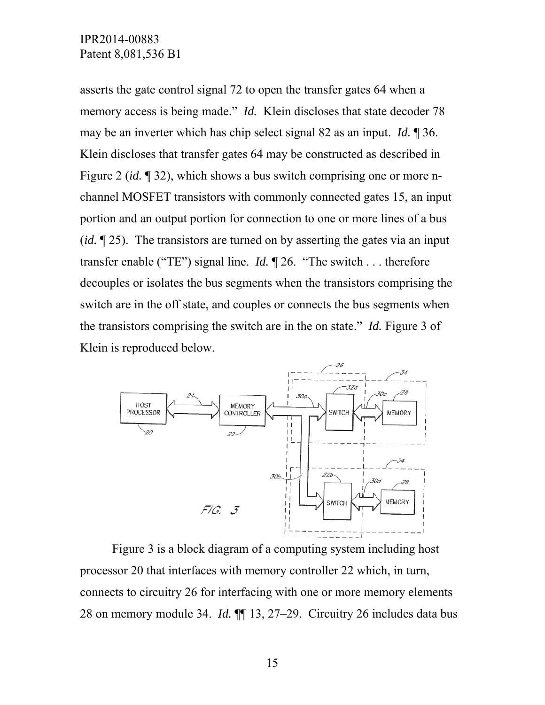asserts the gate control signal 72 to open the transfer gates 64 when a memory access is being made." *Id.* Klein discloses that state decoder 78 may be an inverter which has chip select signal 82 as an input. *Id.* ¶ 36. Klein discloses that transfer gates 64 may be constructed as described in Figure 2 (*id.* ¶ 32), which shows a bus switch comprising one or more nchannel MOSFET transistors with commonly connected gates 15, an input portion and an output portion for connection to one or more lines of a bus (*id.* ¶ 25). The transistors are turned on by asserting the gates via an input transfer enable ("TE") signal line. *Id.* ¶ 26. "The switch . . . therefore decouples or isolates the bus segments when the transistors comprising the switch are in the off state, and couples or connects the bus segments when the transistors comprising the switch are in the on state." *Id.* Figure 3 of Klein is reproduced below.



Figure 3 is a block diagram of a computing system including host processor 20 that interfaces with memory controller 22 which, in turn, connects to circuitry 26 for interfacing with one or more memory elements 28 on memory module 34. *Id.* ¶¶ 13, 27–29. Circuitry 26 includes data bus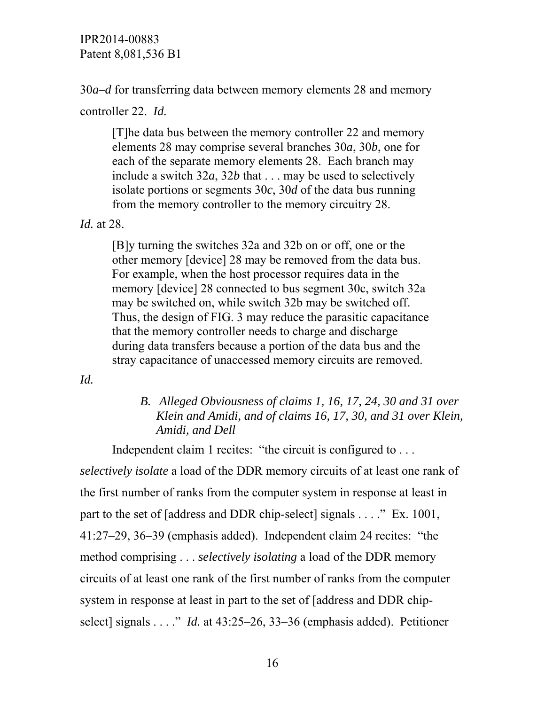30*a–d* for transferring data between memory elements 28 and memory

controller 22. *Id.* 

[T]he data bus between the memory controller 22 and memory elements 28 may comprise several branches 30*a*, 30*b*, one for each of the separate memory elements 28. Each branch may include a switch 32*a*, 32*b* that . . . may be used to selectively isolate portions or segments 30*c*, 30*d* of the data bus running from the memory controller to the memory circuitry 28.

*Id.* at 28.

[B]y turning the switches 32a and 32b on or off, one or the other memory [device] 28 may be removed from the data bus. For example, when the host processor requires data in the memory [device] 28 connected to bus segment 30c, switch 32a may be switched on, while switch 32b may be switched off. Thus, the design of FIG. 3 may reduce the parasitic capacitance that the memory controller needs to charge and discharge during data transfers because a portion of the data bus and the stray capacitance of unaccessed memory circuits are removed.

*Id.* 

## *B. Alleged Obviousness of claims 1, 16, 17, 24, 30 and 31 over Klein and Amidi, and of claims 16, 17, 30, and 31 over Klein, Amidi, and Dell*

Independent claim 1 recites: "the circuit is configured to . . .

*selectively isolate* a load of the DDR memory circuits of at least one rank of the first number of ranks from the computer system in response at least in part to the set of [address and DDR chip-select] signals . . . ." Ex. 1001, 41:27–29, 36–39 (emphasis added). Independent claim 24 recites: "the method comprising . . . *selectively isolating* a load of the DDR memory circuits of at least one rank of the first number of ranks from the computer system in response at least in part to the set of [address and DDR chipselect] signals . . . ." *Id.* at 43:25–26, 33–36 (emphasis added). Petitioner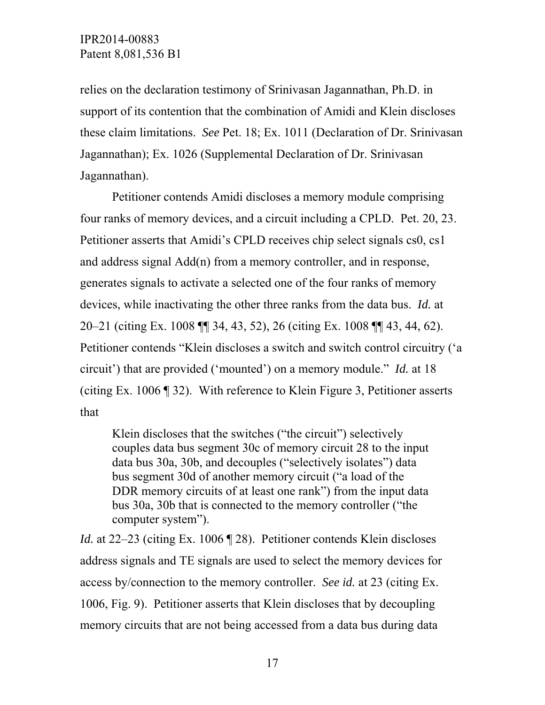relies on the declaration testimony of Srinivasan Jagannathan, Ph.D. in support of its contention that the combination of Amidi and Klein discloses these claim limitations. *See* Pet. 18; Ex. 1011 (Declaration of Dr. Srinivasan Jagannathan); Ex. 1026 (Supplemental Declaration of Dr. Srinivasan Jagannathan).

Petitioner contends Amidi discloses a memory module comprising four ranks of memory devices, and a circuit including a CPLD. Pet. 20, 23. Petitioner asserts that Amidi's CPLD receives chip select signals cs0, cs1 and address signal Add(n) from a memory controller, and in response, generates signals to activate a selected one of the four ranks of memory devices, while inactivating the other three ranks from the data bus. *Id.* at 20–21 (citing Ex. 1008 ¶¶ 34, 43, 52), 26 (citing Ex. 1008 ¶¶ 43, 44, 62). Petitioner contends "Klein discloses a switch and switch control circuitry ('a circuit') that are provided ('mounted') on a memory module." *Id.* at 18 (citing Ex. 1006 ¶ 32). With reference to Klein Figure 3, Petitioner asserts that

Klein discloses that the switches ("the circuit") selectively couples data bus segment 30c of memory circuit 28 to the input data bus 30a, 30b, and decouples ("selectively isolates") data bus segment 30d of another memory circuit ("a load of the DDR memory circuits of at least one rank") from the input data bus 30a, 30b that is connected to the memory controller ("the computer system").

*Id.* at 22–23 (citing Ex. 1006 ¶ 28). Petitioner contends Klein discloses address signals and TE signals are used to select the memory devices for access by/connection to the memory controller. *See id.* at 23 (citing Ex. 1006, Fig. 9). Petitioner asserts that Klein discloses that by decoupling memory circuits that are not being accessed from a data bus during data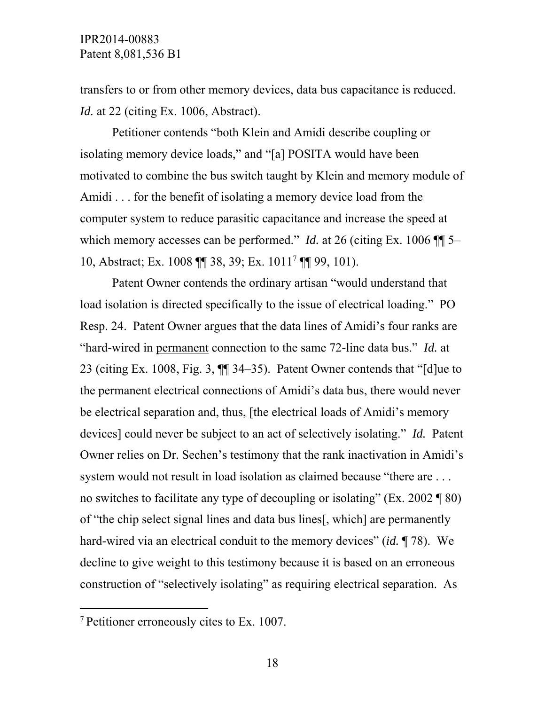transfers to or from other memory devices, data bus capacitance is reduced. *Id.* at 22 (citing Ex. 1006, Abstract).

Petitioner contends "both Klein and Amidi describe coupling or isolating memory device loads," and "[a] POSITA would have been motivated to combine the bus switch taught by Klein and memory module of Amidi . . . for the benefit of isolating a memory device load from the computer system to reduce parasitic capacitance and increase the speed at which memory accesses can be performed." *Id.* at 26 (citing Ex. 1006  $\P$  5– 10, Abstract; Ex. 1008 ¶¶ 38, 39; Ex. 10117 ¶¶ 99, 101).

Patent Owner contends the ordinary artisan "would understand that load isolation is directed specifically to the issue of electrical loading." PO Resp. 24. Patent Owner argues that the data lines of Amidi's four ranks are "hard-wired in permanent connection to the same 72-line data bus." *Id.* at 23 (citing Ex. 1008, Fig. 3, ¶¶ 34–35). Patent Owner contends that "[d]ue to the permanent electrical connections of Amidi's data bus, there would never be electrical separation and, thus, [the electrical loads of Amidi's memory devices] could never be subject to an act of selectively isolating." *Id.* Patent Owner relies on Dr. Sechen's testimony that the rank inactivation in Amidi's system would not result in load isolation as claimed because "there are . . . no switches to facilitate any type of decoupling or isolating" (Ex. 2002 ¶ 80) of "the chip select signal lines and data bus lines[, which] are permanently hard-wired via an electrical conduit to the memory devices" (*id.* ¶ 78). We decline to give weight to this testimony because it is based on an erroneous construction of "selectively isolating" as requiring electrical separation. As

 $\overline{a}$ 

<sup>7</sup> Petitioner erroneously cites to Ex. 1007.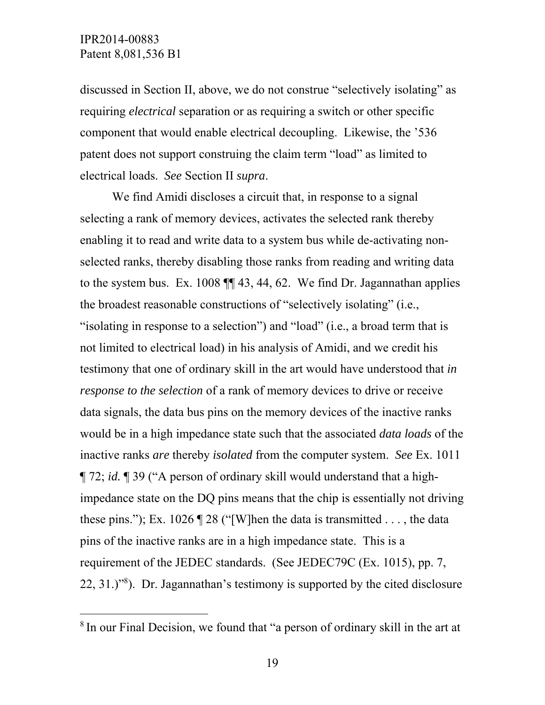-

discussed in Section II, above, we do not construe "selectively isolating" as requiring *electrical* separation or as requiring a switch or other specific component that would enable electrical decoupling. Likewise, the '536 patent does not support construing the claim term "load" as limited to electrical loads. *See* Section II *supra*.

 We find Amidi discloses a circuit that, in response to a signal selecting a rank of memory devices, activates the selected rank thereby enabling it to read and write data to a system bus while de-activating nonselected ranks, thereby disabling those ranks from reading and writing data to the system bus. Ex. 1008 ¶¶ 43, 44, 62. We find Dr. Jagannathan applies the broadest reasonable constructions of "selectively isolating" (i.e., "isolating in response to a selection") and "load" (i.e., a broad term that is not limited to electrical load) in his analysis of Amidi, and we credit his testimony that one of ordinary skill in the art would have understood that *in response to the selection* of a rank of memory devices to drive or receive data signals, the data bus pins on the memory devices of the inactive ranks would be in a high impedance state such that the associated *data loads* of the inactive ranks *are* thereby *isolated* from the computer system. *See* Ex. 1011 ¶ 72; *id.* ¶ 39 ("A person of ordinary skill would understand that a highimpedance state on the DQ pins means that the chip is essentially not driving these pins."); Ex. 1026  $\parallel$  28 ("[W]hen the data is transmitted ..., the data pins of the inactive ranks are in a high impedance state. This is a requirement of the JEDEC standards. (See JEDEC79C (Ex. 1015), pp. 7, 22, 31.)"8 ). Dr. Jagannathan's testimony is supported by the cited disclosure

<sup>&</sup>lt;sup>8</sup> In our Final Decision, we found that "a person of ordinary skill in the art at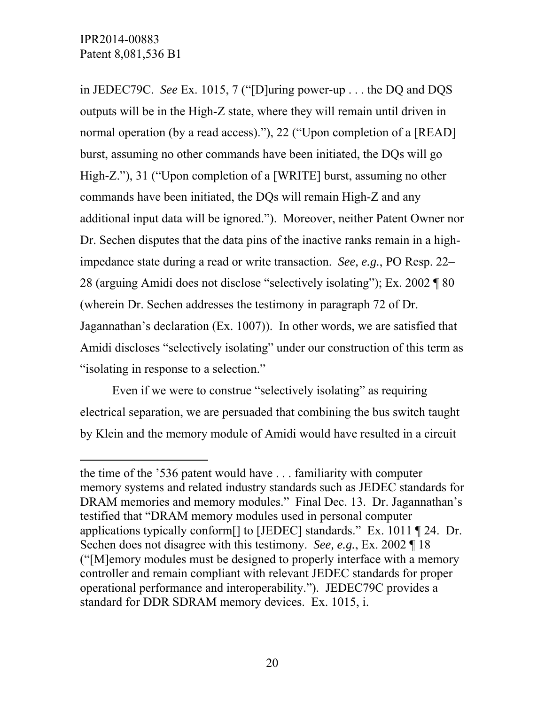l

in JEDEC79C. *See* Ex. 1015, 7 ("[D]uring power-up . . . the DQ and DQS outputs will be in the High-Z state, where they will remain until driven in normal operation (by a read access)."), 22 ("Upon completion of a [READ] burst, assuming no other commands have been initiated, the DQs will go High-Z."), 31 ("Upon completion of a [WRITE] burst, assuming no other commands have been initiated, the DQs will remain High-Z and any additional input data will be ignored."). Moreover, neither Patent Owner nor Dr. Sechen disputes that the data pins of the inactive ranks remain in a highimpedance state during a read or write transaction. *See, e.g.*, PO Resp. 22– 28 (arguing Amidi does not disclose "selectively isolating"); Ex. 2002 ¶ 80 (wherein Dr. Sechen addresses the testimony in paragraph 72 of Dr. Jagannathan's declaration (Ex. 1007)). In other words, we are satisfied that Amidi discloses "selectively isolating" under our construction of this term as "isolating in response to a selection."

Even if we were to construe "selectively isolating" as requiring electrical separation, we are persuaded that combining the bus switch taught by Klein and the memory module of Amidi would have resulted in a circuit

the time of the '536 patent would have . . . familiarity with computer memory systems and related industry standards such as JEDEC standards for DRAM memories and memory modules." Final Dec. 13. Dr. Jagannathan's testified that "DRAM memory modules used in personal computer applications typically conform[] to [JEDEC] standards." Ex. 1011 ¶ 24. Dr. Sechen does not disagree with this testimony. *See, e.g.*, Ex. 2002 ¶ 18 ("[M]emory modules must be designed to properly interface with a memory controller and remain compliant with relevant JEDEC standards for proper operational performance and interoperability."). JEDEC79C provides a standard for DDR SDRAM memory devices. Ex. 1015, i.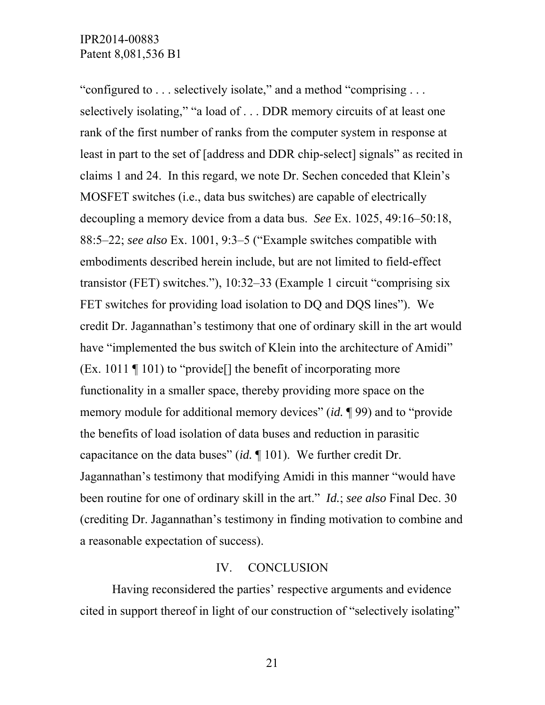"configured to . . . selectively isolate," and a method "comprising . . . selectively isolating," "a load of . . . DDR memory circuits of at least one rank of the first number of ranks from the computer system in response at least in part to the set of [address and DDR chip-select] signals" as recited in claims 1 and 24. In this regard, we note Dr. Sechen conceded that Klein's MOSFET switches (i.e., data bus switches) are capable of electrically decoupling a memory device from a data bus. *See* Ex. 1025, 49:16–50:18, 88:5–22; *see also* Ex. 1001, 9:3–5 ("Example switches compatible with embodiments described herein include, but are not limited to field-effect transistor (FET) switches."), 10:32–33 (Example 1 circuit "comprising six FET switches for providing load isolation to DQ and DQS lines"). We credit Dr. Jagannathan's testimony that one of ordinary skill in the art would have "implemented the bus switch of Klein into the architecture of Amidi" (Ex. 1011 ¶ 101) to "provide[] the benefit of incorporating more functionality in a smaller space, thereby providing more space on the memory module for additional memory devices" (*id.* ¶ 99) and to "provide the benefits of load isolation of data buses and reduction in parasitic capacitance on the data buses" (*id.* ¶ 101). We further credit Dr. Jagannathan's testimony that modifying Amidi in this manner "would have been routine for one of ordinary skill in the art." *Id.*; *see also* Final Dec. 30 (crediting Dr. Jagannathan's testimony in finding motivation to combine and a reasonable expectation of success).

#### IV. CONCLUSION

Having reconsidered the parties' respective arguments and evidence cited in support thereof in light of our construction of "selectively isolating"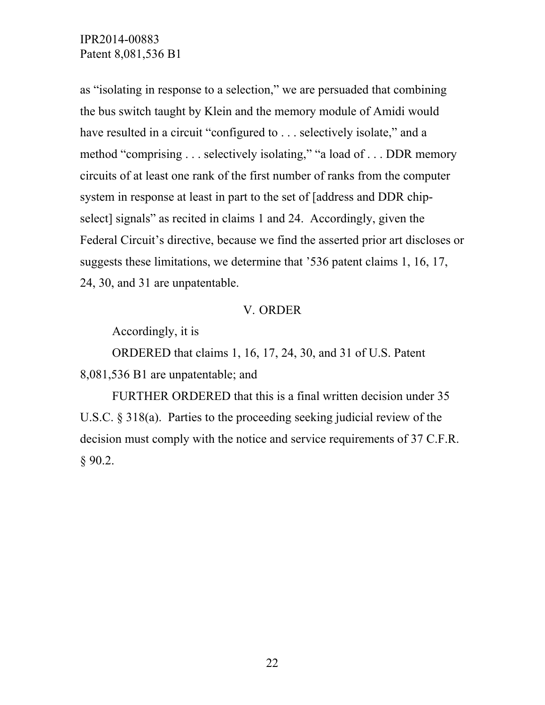as "isolating in response to a selection," we are persuaded that combining the bus switch taught by Klein and the memory module of Amidi would have resulted in a circuit "configured to . . . selectively isolate," and a method "comprising . . . selectively isolating," "a load of . . . DDR memory circuits of at least one rank of the first number of ranks from the computer system in response at least in part to the set of [address and DDR chipselect] signals" as recited in claims 1 and 24. Accordingly, given the Federal Circuit's directive, because we find the asserted prior art discloses or suggests these limitations, we determine that '536 patent claims 1, 16, 17, 24, 30, and 31 are unpatentable.

#### V. ORDER

Accordingly, it is

ORDERED that claims 1, 16, 17, 24, 30, and 31 of U.S. Patent 8,081,536 B1 are unpatentable; and

FURTHER ORDERED that this is a final written decision under 35 U.S.C. § 318(a). Parties to the proceeding seeking judicial review of the decision must comply with the notice and service requirements of 37 C.F.R. § 90.2.